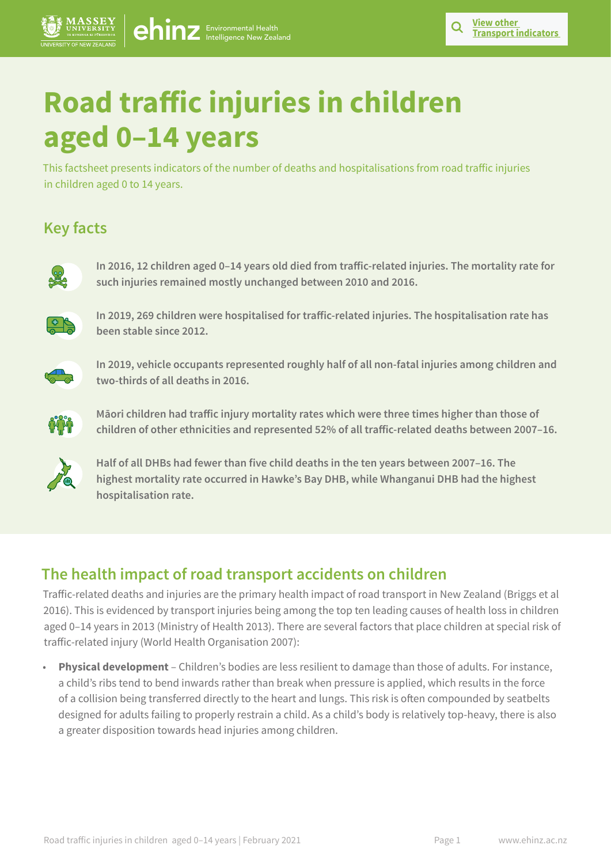# **Road traffic injuries in children aged 0–14 years**

 $ehinz$  Environmental Health

This factsheet presents indicators of the number of deaths and hospitalisations from road traffic injuries in children aged 0 to 14 years.

# **Key facts**



**In 2016, 12 children aged 0–14 years old died from traffic-related injuries. The mortality rate for such injuries remained mostly unchanged between 2010 and 2016.**



**In 2019, 269 children were hospitalised for traffic-related injuries. The hospitalisation rate has been stable since 2012.** 



**In 2019, vehicle occupants represented roughly half of all non-fatal injuries among children and two-thirds of all deaths in 2016.** 



**Māori children had traffic injury mortality rates which were three times higher than those of children of other ethnicities and represented 52% of all traffic-related deaths between 2007–16.**



**Half of all DHBs had fewer than five child deaths in the ten years between 2007–16. The highest mortality rate occurred in Hawke's Bay DHB, while Whanganui DHB had the highest hospitalisation rate.**

# **The health impact of road transport accidents on children**

Traffic-related deaths and injuries are the primary health impact of road transport in New Zealand (Briggs et al 2016). This is evidenced by transport injuries being among the top ten leading causes of health loss in children aged 0–14 years in 2013 (Ministry of Health 2013). There are several factors that place children at special risk of traffic-related injury (World Health Organisation 2007):

• **Physical development** – Children's bodies are less resilient to damage than those of adults. For instance, a child's ribs tend to bend inwards rather than break when pressure is applied, which results in the force of a collision being transferred directly to the heart and lungs. This risk is often compounded by seatbelts designed for adults failing to properly restrain a child. As a child's body is relatively top-heavy, there is also a greater disposition towards head injuries among children.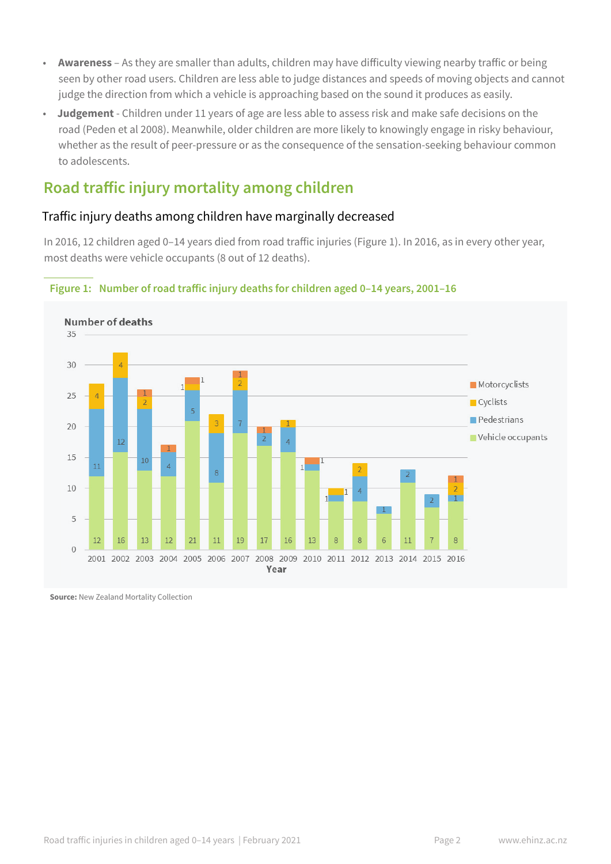- **Awareness** As they are smaller than adults, children may have difficulty viewing nearby traffic or being seen by other road users. Children are less able to judge distances and speeds of moving objects and cannot judge the direction from which a vehicle is approaching based on the sound it produces as easily.
- **Judgement** Children under 11 years of age are less able to assess risk and make safe decisions on the road (Peden et al 2008). Meanwhile, older children are more likely to knowingly engage in risky behaviour, whether as the result of peer-pressure or as the consequence of the sensation-seeking behaviour common to adolescents.

# **Road traffic injury mortality among children**

## Traffic injury deaths among children have marginally decreased

In 2016, 12 children aged 0–14 years died from road traffic injuries (Figure 1). In 2016, as in every other year, most deaths were vehicle occupants (8 out of 12 deaths).



#### **Figure 1: Number of road traffic injury deaths for children aged 0–14 years, 2001–16**

**Source:** New Zealand Mortality Collection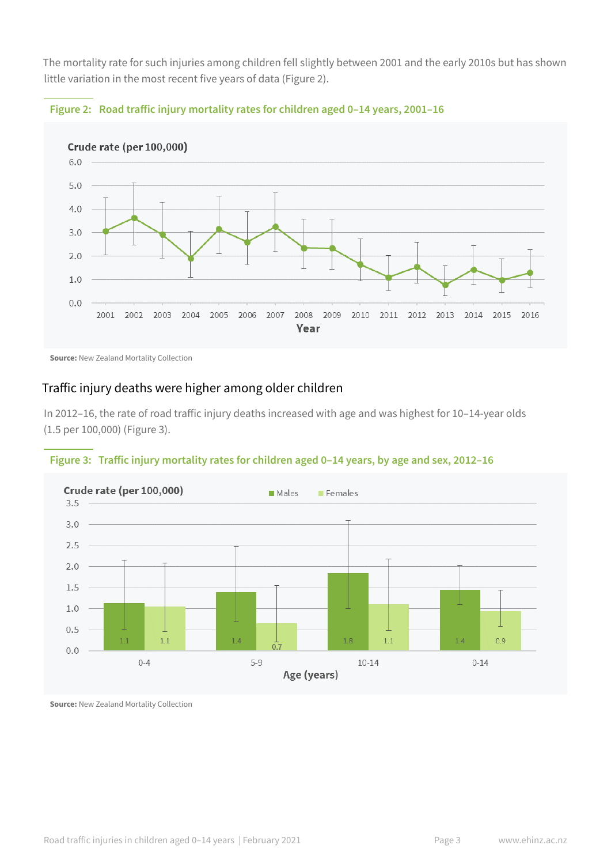The mortality rate for such injuries among children fell slightly between 2001 and the early 2010s but has shown little variation in the most recent five years of data (Figure 2).





**Source:** New Zealand Mortality Collection

#### Traffic injury deaths were higher among older children

In 2012–16, the rate of road traffic injury deaths increased with age and was highest for 10–14-year olds (1.5 per 100,000) (Figure 3).





**Source:** New Zealand Mortality Collection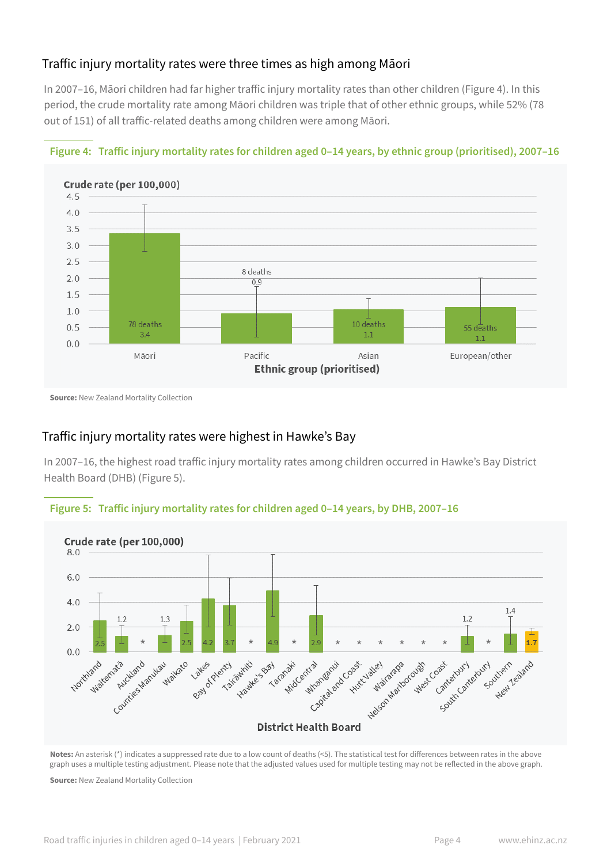### Traffic injury mortality rates were three times as high among Māori

In 2007–16, Māori children had far higher traffic injury mortality rates than other children (Figure 4). In this period, the crude mortality rate among Māori children was triple that of other ethnic groups, while 52% (78 out of 151) of all traffic-related deaths among children were among Māori.



#### **Figure 4: Traffic injury mortality rates for children aged 0–14 years, by ethnic group (prioritised), 2007–16**

**Source:** New Zealand Mortality Collection

## Traffic injury mortality rates were highest in Hawke's Bay

In 2007–16, the highest road traffic injury mortality rates among children occurred in Hawke's Bay District Health Board (DHB) (Figure 5).





**Notes:** An asterisk (\*) indicates a suppressed rate due to a low count of deaths (<5). The statistical test for differences between rates in the above graph uses a multiple testing adjustment. Please note that the adjusted values used for multiple testing may not be reflected in the above graph.

**Source:** New Zealand Mortality Collection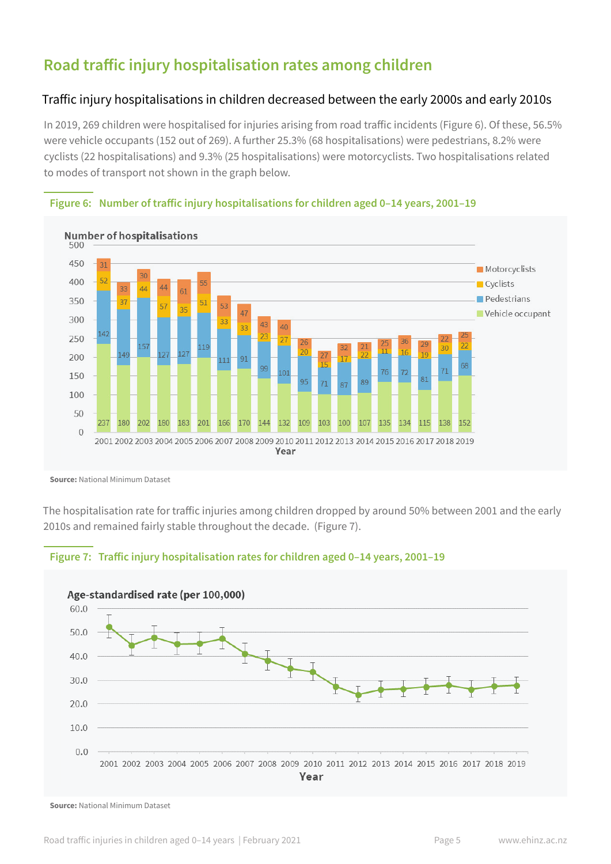# **Road traffic injury hospitalisation rates among children**

#### Traffic injury hospitalisations in children decreased between the early 2000s and early 2010s

In 2019, 269 children were hospitalised for injuries arising from road traffic incidents (Figure 6). Of these, 56.5% were vehicle occupants (152 out of 269). A further 25.3% (68 hospitalisations) were pedestrians, 8.2% were cyclists (22 hospitalisations) and 9.3% (25 hospitalisations) were motorcyclists. Two hospitalisations related to modes of transport not shown in the graph below.



#### **Figure 6: Number of traffic injury hospitalisations for children aged 0–14 years, 2001–19**

**Source:** National Minimum Dataset

The hospitalisation rate for traffic injuries among children dropped by around 50% between 2001 and the early 2010s and remained fairly stable throughout the decade. (Figure 7).





**Source:** National Minimum Dataset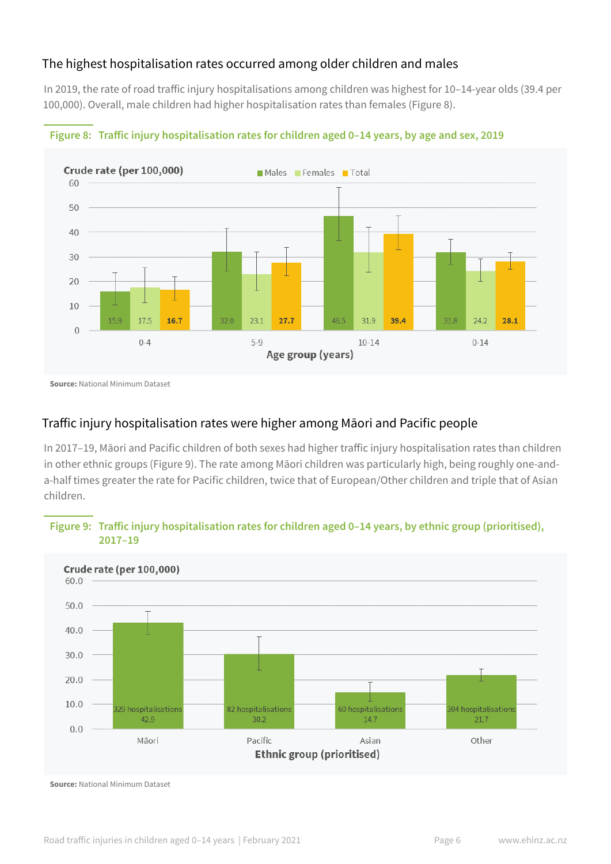#### The highest hospitalisation rates occurred among older children and males

In 2019, the rate of road traffic injury hospitalisations among children was highest for 10–14-year olds (39.4 per 100,000). Overall, male children had higher hospitalisation rates than females (Figure 8).





**Source:** National Minimum Dataset

### Traffic injury hospitalisation rates were higher among Māori and Pacific people

In 2017–19, Māori and Pacific children of both sexes had higher traffic injury hospitalisation rates than children in other ethnic groups (Figure 9). The rate among Māori children was particularly high, being roughly one-anda-half times greater the rate for Pacific children, twice that of European/Other children and triple that of Asian children.

#### **Figure 9: Traffic injury hospitalisation rates for children aged 0–14 years, by ethnic group (prioritised), 2017–19**



**Source:** National Minimum Dataset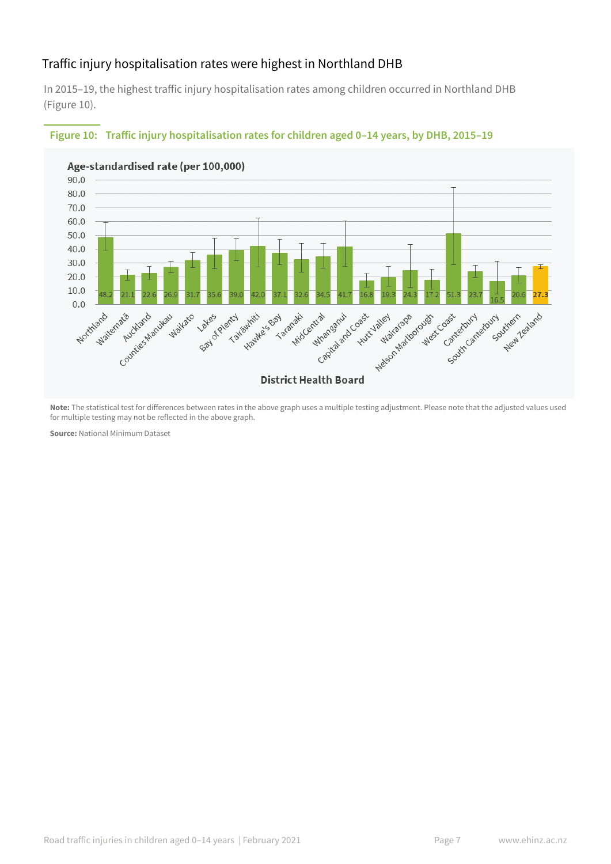### Traffic injury hospitalisation rates were highest in Northland DHB

In 2015–19, the highest traffic injury hospitalisation rates among children occurred in Northland DHB (Figure 10).



#### **Figure 10: Traffic injury hospitalisation rates for children aged 0–14 years, by DHB, 2015–19**

**Note:** The statistical test for differences between rates in the above graph uses a multiple testing adjustment. Please note that the adjusted values used for multiple testing may not be reflected in the above graph.

**Source:** National Minimum Dataset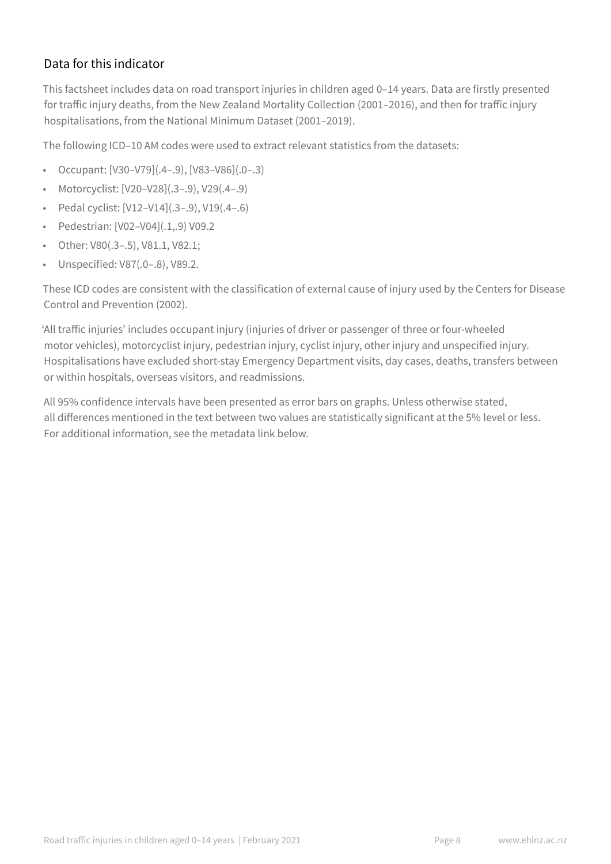## Data for this indicator

This factsheet includes data on road transport injuries in children aged 0–14 years. Data are firstly presented for traffic injury deaths, from the New Zealand Mortality Collection (2001–2016), and then for traffic injury hospitalisations, from the National Minimum Dataset (2001–2019).

The following ICD–10 AM codes were used to extract relevant statistics from the datasets:

- Occupant:  $[V30-V79]$ (.4-.9),  $[V83-V86]$ (.0-.3)
- Motorcyclist: [V20–V28](.3–.9), V29(.4–.9)
- Pedal cyclist: [V12–V14](.3–.9), V19(.4–.6)
- Pedestrian: [V02–V04](.1,.9) V09.2
- Other: V80(.3–.5), V81.1, V82.1;
- Unspecified: V87(.0–.8), V89.2.

These ICD codes are consistent with the classification of external cause of injury used by the Centers for Disease Control and Prevention (2002).

'All traffic injuries' includes occupant injury (injuries of driver or passenger of three or four-wheeled motor vehicles), motorcyclist injury, pedestrian injury, cyclist injury, other injury and unspecified injury. Hospitalisations have excluded short-stay Emergency Department visits, day cases, deaths, transfers between or within hospitals, overseas visitors, and readmissions.

All 95% confidence intervals have been presented as error bars on graphs. Unless otherwise stated, all differences mentioned in the text between two values are statistically significant at the 5% level or less. For additional information, see the metadata link below.